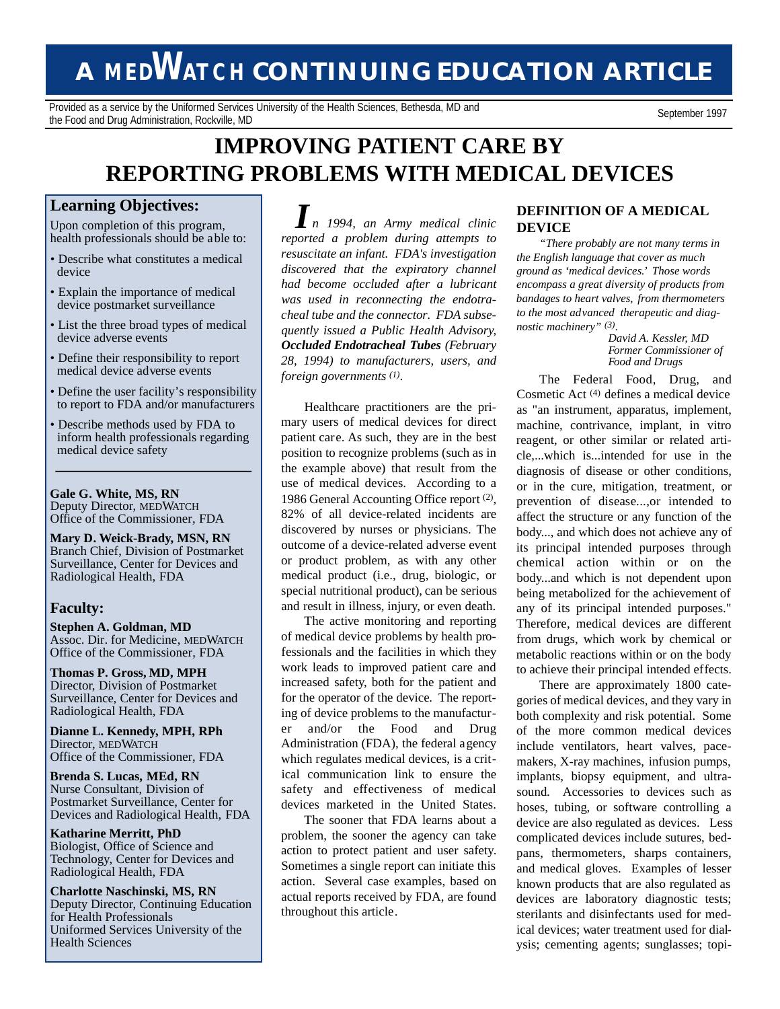# **A MEDWATCH CONTINUING EDUCATION ARTICLE**

Provided as a service by the Uniformed Services University of the Health Sciences, Bethesda, MD and the Food and Drug Administration, Rockville, MD

# **IMPROVING PATIENT CARE BY REPORTING PROBLEMS WITH MEDICAL DEVICES**

# **Learning Objectives:**

Upon completion of this program, health professionals should be able to:

- Describe what constitutes a medical device
- Explain the importance of medical device postmarket surveillance
- List the three broad types of medical device adverse events
- Define their responsibility to report medical device adverse events
- Define the user facility's responsibility to report to FDA and/or manufacturers
- Describe methods used by FDA to inform health professionals regarding medical device safety

#### **Gale G. White, MS, RN** Deputy Director, MEDWATCH

Office of the Commissioner, FDA

**Mary D. Weick-Brady, MSN, RN** Branch Chief, Division of Postmarket Surveillance, Center for Devices and Radiological Health, FDA

# **Faculty:**

**Stephen A. Goldman, MD** Assoc. Dir. for Medicine, MEDWATCH Office of the Commissioner, FDA

**Thomas P. Gross, MD, MPH** Director, Division of Postmarket Surveillance, Center for Devices and Radiological Health, FDA

**Dianne L. Kennedy, MPH, RPh** Director, MEDWATCH Office of the Commissioner, FDA

**Brenda S. Lucas, MEd, RN** Nurse Consultant, Division of Postmarket Surveillance, Center for Devices and Radiological Health, FDA

**Katharine Merritt, PhD** Biologist, Office of Science and Technology, Center for Devices and Radiological Health, FDA

**Charlotte Naschinski, MS, RN** Deputy Director, Continuing Education for Health Professionals Uniformed Services University of the Health Sciences

 $\sum_{n=1}^{\infty}$  1994, an Army medical clinic *reported a problem during attempts to resuscitate an infant. FDA's investigation discovered that the expiratory channel had become occluded after a lubricant was used in reconnecting the endotracheal tube and the connector. FDA subsequently issued a Public Health Advisory, Occluded Endotracheal Tubes (February 28, 1994) to manufacturers, users, and foreign governments (1) .*

Healthcare practitioners are the primary users of medical devices for direct patient care. As such, they are in the best position to recognize problems (such as in the example above) that result from the use of medical devices. According to a 1986 General Accounting Office report <sup>(2)</sup>, 82% of all device-related incidents are discovered by nurses or physicians. The outcome of a device-related adverse event or product problem, as with any other medical product (i.e., drug, biologic, or special nutritional product), can be serious and result in illness, injury, or even death.

The active monitoring and reporting of medical device problems by health professionals and the facilities in which they work leads to improved patient care and increased safety, both for the patient and for the operator of the device. The reporting of device problems to the manufacturer and/or the Food and Drug Administration (FDA), the federal agency which regulates medical devices, is a critical communication link to ensure the safety and effectiveness of medical devices marketed in the United States.

The sooner that FDA learns about a problem, the sooner the agency can take action to protect patient and user safety. Sometimes a single report can initiate this action. Several case examples, based on actual reports received by FDA, are found throughout this article.

# **DEFINITION OF A MEDICAL DEVICE**

*"There probably are not many terms in the English language that cover as much ground as 'medical devices.' Those words encompass a great diversity of products from bandages to heart valves, from thermometers to the most advanced therapeutic and diagnostic machinery" (3) .*

*David A. Kessler, MD Former Commissioner of Food and Drugs*

The Federal Food, Drug, and Cosmetic Act (4) defines a medical device as "an instrument, apparatus, implement, machine, contrivance, implant, in vitro reagent, or other similar or related article,...which is...intended for use in the diagnosis of disease or other conditions, or in the cure, mitigation, treatment, or prevention of disease...,or intended to affect the structure or any function of the body..., and which does not achieve any of its principal intended purposes through chemical action within or on the body...and which is not dependent upon being metabolized for the achievement of any of its principal intended purposes." Therefore, medical devices are different from drugs, which work by chemical or metabolic reactions within or on the body to achieve their principal intended effects.

There are approximately 1800 categories of medical devices, and they vary in both complexity and risk potential. Some of the more common medical devices include ventilators, heart valves, pacemakers, X-ray machines, infusion pumps, implants, biopsy equipment, and ultrasound. Accessories to devices such as hoses, tubing, or software controlling a device are also regulated as devices. Less complicated devices include sutures, bedpans, thermometers, sharps containers, and medical gloves. Examples of lesser known products that are also regulated as devices are laboratory diagnostic tests; sterilants and disinfectants used for medical devices; water treatment used for dialysis; cementing agents; sunglasses; topi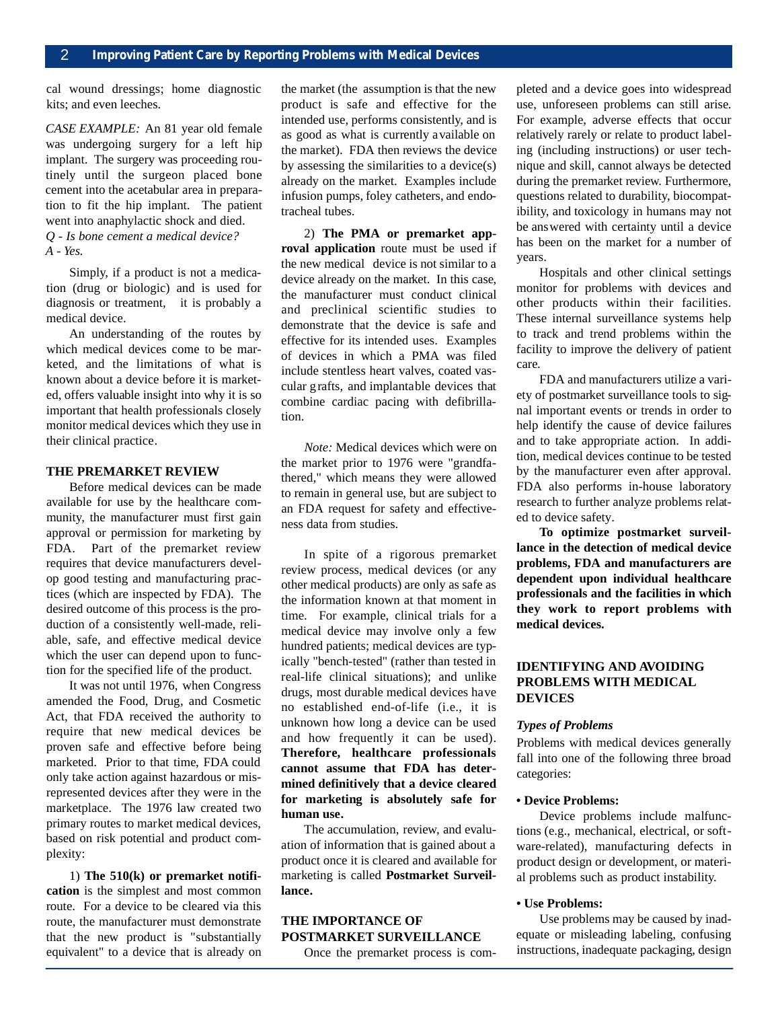cal wound dressings; home diagnostic kits; and even leeches.

*CASE EXAMPLE:* An 81 year old female was undergoing surgery for a left hip implant. The surgery was proceeding routinely until the surgeon placed bone cement into the acetabular area in preparation to fit the hip implant. The patient went into anaphylactic shock and died. *Q - Is bone cement a medical device? A - Yes.*

Simply, if a product is not a medication (drug or biologic) and is used for diagnosis or treatment, it is probably a medical device.

An understanding of the routes by which medical devices come to be marketed, and the limitations of what is known about a device before it is marketed, offers valuable insight into why it is so important that health professionals closely monitor medical devices which they use in their clinical practice.

#### **THE PREMARKET REVIEW**

Before medical devices can be made available for use by the healthcare community, the manufacturer must first gain approval or permission for marketing by FDA. Part of the premarket review requires that device manufacturers develop good testing and manufacturing practices (which are inspected by FDA). The desired outcome of this process is the production of a consistently well-made, reliable, safe, and effective medical device which the user can depend upon to function for the specified life of the product.

It was not until 1976, when Congress amended the Food, Drug, and Cosmetic Act, that FDA received the authority to require that new medical devices be proven safe and effective before being marketed. Prior to that time, FDA could only take action against hazardous or misrepresented devices after they were in the marketplace. The 1976 law created two primary routes to market medical devices, based on risk potential and product complexity:

1) **The 510(k) or premarket notification** is the simplest and most common route. For a device to be cleared via this route, the manufacturer must demonstrate that the new product is "substantially equivalent" to a device that is already on the market (the assumption is that the new product is safe and effective for the intended use, performs consistently, and is as good as what is currently available on the market). FDA then reviews the device by assessing the similarities to a device(s) already on the market. Examples include infusion pumps, foley catheters, and endotracheal tubes.

2) **The PMA or premarket approval application** route must be used if the new medical device is not similar to a device already on the market. In this case, the manufacturer must conduct clinical and preclinical scientific studies to demonstrate that the device is safe and effective for its intended uses. Examples of devices in which a PMA was filed include stentless heart valves, coated vascular grafts, and implantable devices that combine cardiac pacing with defibrillation.

*Note:* Medical devices which were on the market prior to 1976 were "grandfathered," which means they were allowed to remain in general use, but are subject to an FDA request for safety and effectiveness data from studies.

In spite of a rigorous premarket review process, medical devices (or any other medical products) are only as safe as the information known at that moment in time. For example, clinical trials for a medical device may involve only a few hundred patients; medical devices are typically "bench-tested" (rather than tested in real-life clinical situations); and unlike drugs, most durable medical devices have no established end-of-life (i.e. , it is unknown how long a device can be used and how frequently it can be used). **Therefore, healthcare professionals cannot assume that FDA has determined definitively that a device cleared** for marketing is absolutely safe for **human use.**

The accumulation, review, and evaluation of information that is gained about a product once it is cleared and available for marketing is called **Postmarket Surveillance.**

# **THE IMPORTANCE OF POSTMARKET SURVEILLANCE**

Once the premarket process is com-

pleted and a device goes into widespread use, unforeseen problems can still arise. For example, adverse effects that occur relatively rarely or relate to product labeling (including instructions) or user technique and skill, cannot always be detected during the premarket review. Furthermore, questions related to durability, biocompatibility, and toxicology in humans may not be answered with certainty until a device has been on the market for a number of years.

Hospitals and other clinical settings monitor for problems with devices and other products within their facilities. These internal surveillance systems help to track and trend problems within the facility to improve the delivery of patient care.

FDA and manufacturers utilize a variety of postmarket surveillance tools to signal important events or trends in order to help identify the cause of device failures and to take appropriate action. In addition, medical devices continue to be tested by the manufacturer even after approval. FDA also performs in-house laboratory research to further analyze problems related to device safety.

To optimize postmarket surveil**lance in the detection of medical device problems, FDA and manufacturers are dependent upon individual healthcare professionals and the facilities in which** they work to report problems with **medical devices.** 

# **IDENTIFYING AND AVOIDING PROBLEMS WITH MEDICAL DEVICES**

#### *Types of Problems*

Problems with medical devices generally fall into one of the following three broad categories:

#### **• Device Problems:**

Device problems include malfunctions (e.g., mechanical, electrical, or software-related), manufacturing defects in product design or development, or material problems such as product instability.

#### **• Use Problems:**

Use problems may be caused by inadequate or misleading labeling, confusing instructions, inadequate packaging, design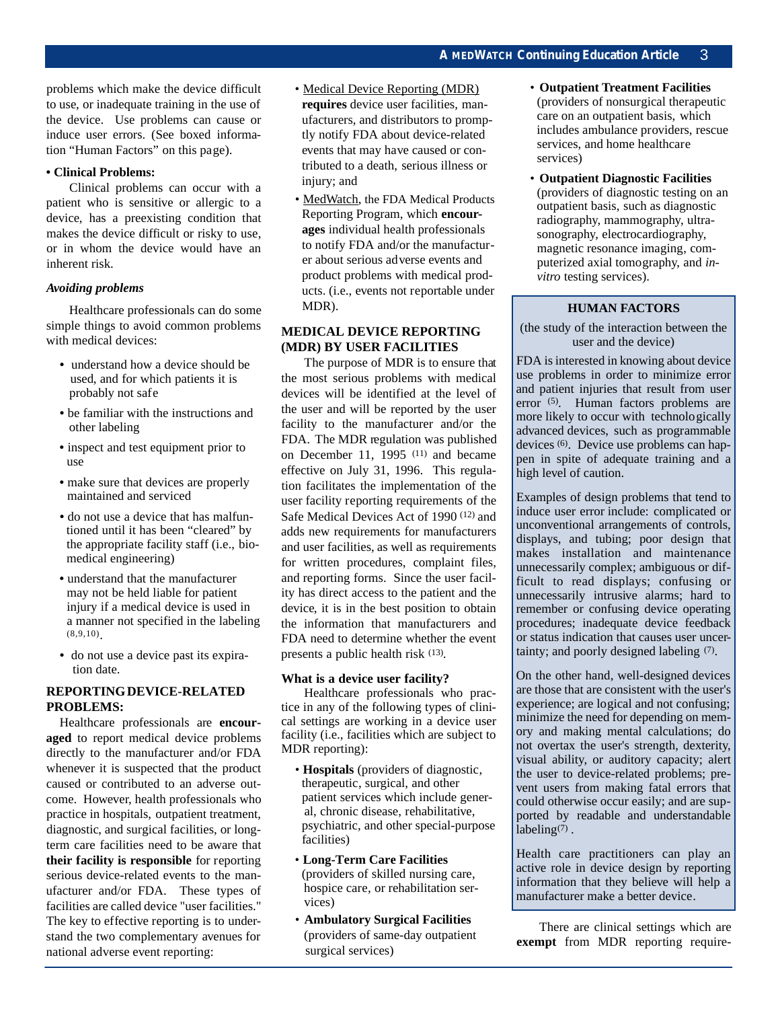problems which make the device difficult to use, or inadequate training in the use of the device. Use problems can cause or induce user errors. (See boxed information "Human Factors" on this page).

### **• Clinical Problems:**

Clinical problems can occur with a patient who is sensitive or allergic to a device, has a preexisting condition that makes the device difficult or risky to use, or in whom the device would have an inherent risk.

#### *Avoiding problems*

Healthcare professionals can do some simple things to avoid common problems with medical devices:

- **•** understand how a device should be used, and for which patients it is probably not safe
- **•** be familiar with the instructions and other labeling
- **•** inspect and test equipment prior to use
- **•** make sure that devices are properly maintained and serviced
- **•** do not use a device that has malfuntioned until it has been "cleared" by the appropriate facility staff (i.e., biomedical engineering)
- **•** understand that the manufacturer may not be held liable for patient injury if a medical device is used in a manner not specified in the labeling  $(8,9,10)$ .
- **•** do not use a device past its expiration date.

# **REPORTING DEVICE-RELATED PROBLEMS:**

Healthcare professionals are **encouraged** to report medical device problems directly to the manufacturer and/or FDA whenever it is suspected that the product caused or contributed to an adverse outcome. However, health professionals who practice in hospitals, outpatient treatment, diagnostic, and surgical facilities, or longterm care facilities need to be aware that **their facility is responsible** for reporting serious device-related events to the manufacturer and/or FDA. These types of facilities are called device "user facilities." The key to effective reporting is to understand the two complementary avenues for national adverse event reporting:

- Medical Device Reporting (MDR) **requires** device user facilities, manufacturers, and distributors to promptly notify FDA about device-related events that may have caused or contributed to a death, serious illness or injury; and
- MedWatch, the FDA Medical Products Reporting Program, which **encourages** individual health professionals to notify FDA and/or the manufacturer about serious adverse events and product problems with medical products. (i.e., events not reportable under MDR).

# **MEDICAL DEVICE REPORTING (MDR) BY USER FACILITIES**

The purpose of MDR is to ensure that the most serious problems with medical devices will be identified at the level of the user and will be reported by the user facility to the manufacturer and/or the FDA. The MDR regulation was published on December 11, 1995 (11) and became effective on July 31, 1996. This regulation facilitates the implementation of the user facility reporting requirements of the Safe Medical Devices Act of 1990 (12) and adds new requirements for manufacturers and user facilities, as well as requirements for written procedures, complaint files, and reporting forms. Since the user facility has direct access to the patient and the device, it is in the best position to obtain the information that manufacturers and FDA need to determine whether the event presents a public health risk <sup>(13)</sup>.

### **What is a device user facility?**

Healthcare professionals who practice in any of the following types of clinical settings are working in a device user facility (i.e., facilities which are subject to MDR reporting):

- **Hospitals** (providers of diagnostic, therapeutic, surgical, and other patient services which include general, chronic disease, rehabilitative, psychiatric, and other special-purpose facilities)
- **Long-Term Care Facilities** (providers of skilled nursing care, hospice care, or rehabilitation services)
- **Ambulatory Surgical Facilities** (providers of same-day outpatient surgical services)
- **Outpatient Treatment Facilities** (providers of nonsurgical therapeutic care on an outpatient basis, which includes ambulance providers, rescue services, and home healthcare services)
- **Outpatient Diagnostic Facilities** (providers of diagnostic testing on an outpatient basis, such as diagnostic radiography, mammography, ultrasonography, electrocardiography, magnetic resonance imaging, computerized axial tomography, and *invitro* testing services).

# **HUMAN FACTORS**

(the study of the interaction between the user and the device)

FDA is interested in knowing about device use problems in order to minimize error and patient injuries that result from user error (5). Human factors problems are more likely to occur with technologically advanced devices, such as programmable devices (6). Device use problems can happen in spite of adequate training and a high level of caution.

Examples of design problems that tend to induce user error include: complicated or unconventional arrangements of controls, displays, and tubing; poor design that makes installation and maintenance unnecessarily complex; ambiguous or difficult to read displays; confusing or unnecessarily intrusive alarms; hard to remember or confusing device operating procedures; inadequate device feedback or status indication that causes user uncertainty; and poorly designed labeling (7) .

On the other hand, well-designed devices are those that are consistent with the user's experience; are logical and not confusing; minimize the need for depending on memory and making mental calculations; do not overtax the user's strength, dexterity, visual ability, or auditory capacity; alert the user to device-related problems; prevent users from making fatal errors that could otherwise occur easily; and are supported by readable and understandable labeling<sup>(7)</sup>.

Health care practitioners can play an active role in device design by reporting information that they believe will help a manufacturer make a better device.

There are clinical settings which are **exempt** from MDR reporting require-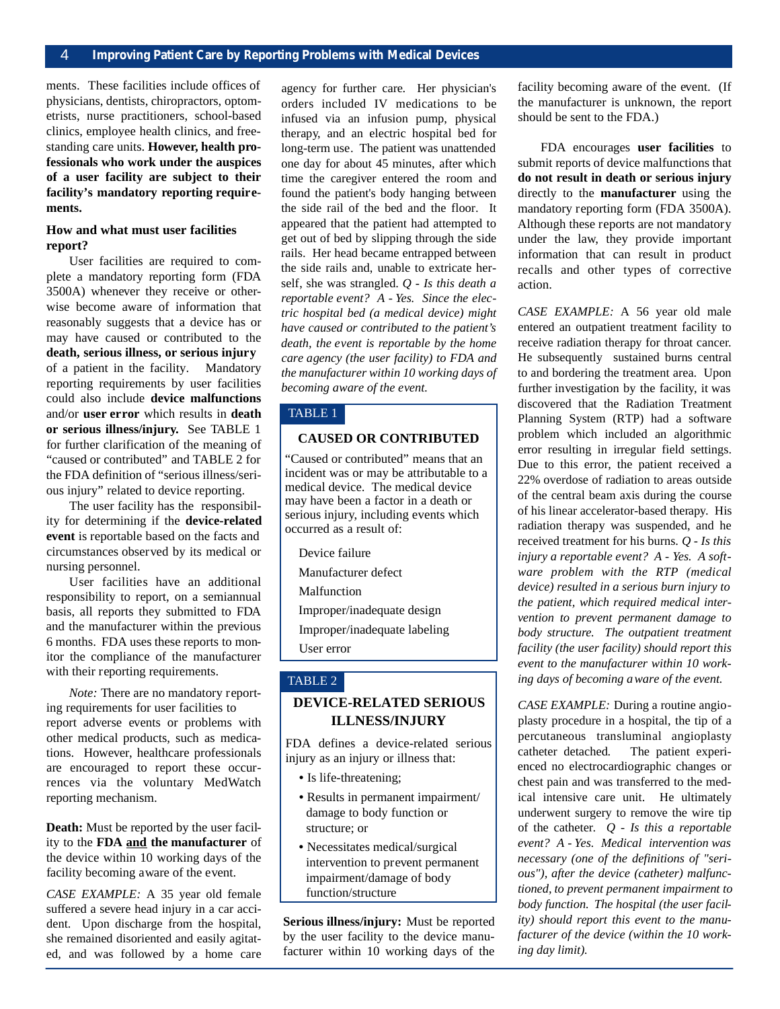ments. These facilities include offices of physicians, dentists, chiropractors, optometrists, nurse practitioners, school-based clinics, employee health clinics, and freestanding care units. **However, health professionals who work under the auspices of a user facility are subject to their facility's mandatory reporting requirements.**

# **How and what must user facilities report?**

User facilities are required to complete a mandatory reporting form (FDA 3500A) whenever they receive or otherwise become aware of information that reasonably suggests that a device has or may have caused or contributed to the **death, serious illness, or serious injury** of a patient in the facility. Mandatory reporting requirements by user facilities could also include **device malfunctions** and/or **user error** which results in **death or serious illness/injury.** See TABLE 1 for further clarification of the meaning of "caused or contributed" and TABLE 2 for the FDA definition of "serious illness/serious injury" related to device reporting.

The user facility has the responsibility for determining if the **device-related event** is reportable based on the facts and circumstances observed by its medical or nursing personnel.

User facilities have an additional responsibility to report, on a semiannual basis, all reports they submitted to FDA and the manufacturer within the previous 6 months. FDA uses these reports to monitor the compliance of the manufacturer with their reporting requirements.

*Note:* There are no mandatory reporting requirements for user facilities to report adverse events or problems with other medical products, such as medications. However, healthcare professionals are encouraged to report these occurrences via the voluntary MedWatch reporting mechanism.

**Death:** Must be reported by the user facility to the **FDA and the manufacturer** of the device within 10 working days of the facility becoming aware of the event.

*CASE EXAMPLE:* A 35 year old female suffered a severe head injury in a car accident. Upon discharge from the hospital, she remained disoriented and easily agitated, and was followed by a home care

agency for further care. Her physician's orders included IV medications to be infused via an infusion pump, physical therapy, and an electric hospital bed for long-term use. The patient was unattended one day for about 45 minutes, after which time the caregiver entered the room and found the patient's body hanging between the side rail of the bed and the floor. It appeared that the patient had attempted to get out of bed by slipping through the side rails. Her head became entrapped between the side rails and, unable to extricate herself, she was strangled. *Q - Is this death a reportable event? A - Yes. Since the electric hospital bed (a medical device) might have caused or contributed to the patient's death, the event is reportable by the home care agency (the user facility) to FDA and the manufacturer within 10 working days of becoming aware of the event.*

# TABLE 1

# **CAUSED OR CONTRIBUTED**

"Caused or contributed" means that an incident was or may be attributable to a medical device. The medical device may have been a factor in a death or serious injury, including events which occurred as a result of:

Device failure

Manufacturer defect

Malfunction

Improper/inadequate design

Improper/inadequate labeling

User error

# TABLE 2

# **DEVICE-RELATED SERIOUS ILLNESS/INJURY**

FDA defines a device-related serious injury as an injury or illness that:

- **•** Is life-threatening;
- **•** Results in permanent impairment/ damage to body function or structure; or
- **•** Necessitates medical/surgical intervention to prevent permanent impairment/damage of body function/structure

**Serious illness/injury:** Must be reported by the user facility to the device manufacturer within 10 working days of the facility becoming aware of the event. (If the manufacturer is unknown, the report should be sent to the FDA.)

FDA encourages **user facilities** to submit reports of device malfunctions that **do not result in death or serious injury** directly to the **manufacturer** using the mandatory reporting form (FDA 3500A). Although these reports are not mandatory under the law, they provide important information that can result in product recalls and other types of corrective action.

*CASE EXAMPLE:* A 56 year old male entered an outpatient treatment facility to receive radiation therapy for throat cancer. He subsequently sustained burns central to and bordering the treatment area. Upon further investigation by the facility, it was discovered that the Radiation Treatment Planning System (RTP) had a software problem which included an algorithmic error resulting in irregular field settings. Due to this error, the patient received a 22% overdose of radiation to areas outside of the central beam axis during the course of his linear accelerator-based therapy. His radiation therapy was suspended, and he received treatment for his burns. *Q - Is this injury a reportable event? A - Yes. A software problem with the RTP (medical device) resulted in a serious burn injury to the patient, which required medical intervention to prevent permanent damage to body structure. The outpatient treatment facility (the user facility) should report this event to the manufacturer within 10 working days of becoming aware of the event.* 

*CASE EXAMPLE:* During a routine angioplasty procedure in a hospital, the tip of a percutaneous transluminal angioplasty catheter detached. The patient experienced no electrocardiographic changes or chest pain and was transferred to the medical intensive care unit. He ultimately underwent surgery to remove the wire tip of the catheter. *Q - Is this a reportable event? A - Yes. Medical intervention was necessary (one of the definitions of "serious"), after the device (catheter) malfunctioned, to prevent permanent impairment to body function. The hospital (the user facility) should report this event to the manufacturer of the device (within the 10 working day limit).*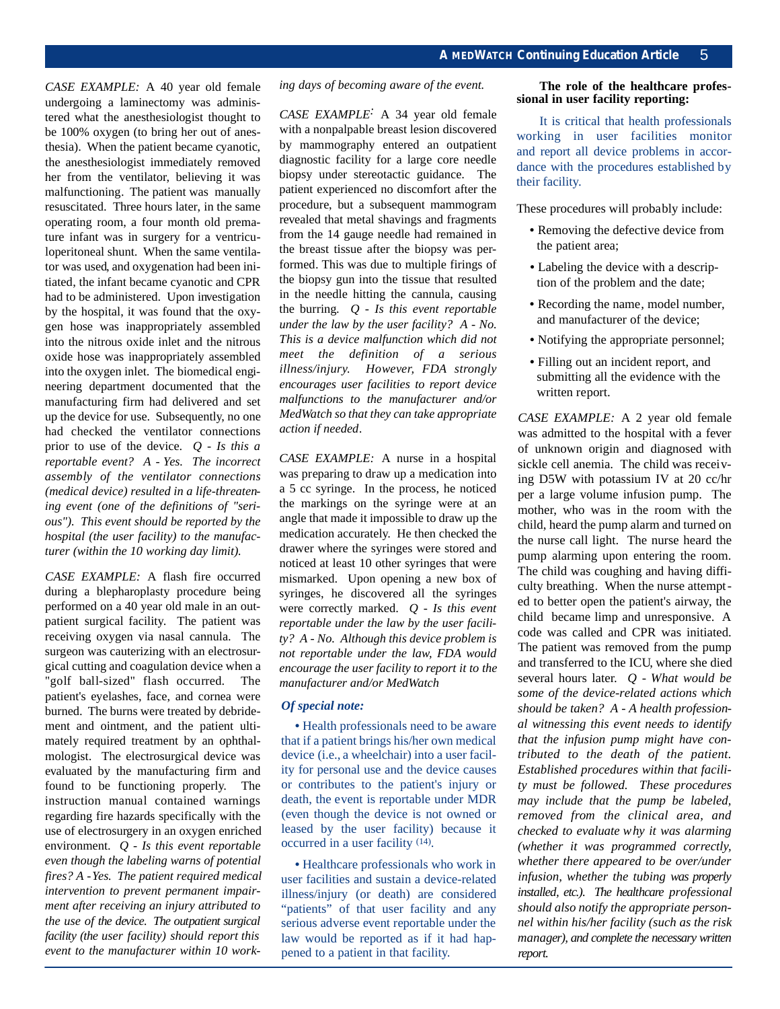*CASE EXAMPLE:* A 40 year old female undergoing a laminectomy was administered what the anesthesiologist thought to be 100% oxygen (to bring her out of anesthesia). When the patient became cyanotic, the anesthesiologist immediately removed her from the ventilator, believing it was malfunctioning. The patient was manually resuscitated. Three hours later, in the same operating room, a four month old premature infant was in surgery for a ventriculoperitoneal shunt. When the same ventilator was used, and oxygenation had been initiated, the infant became cyanotic and CPR had to be administered. Upon investigation by the hospital, it was found that the oxygen hose was inappropriately assembled into the nitrous oxide inlet and the nitrous oxide hose was inappropriately assembled into the oxygen inlet. The biomedical engineering department documented that the manufacturing firm had delivered and set up the device for use. Subsequently, no one had checked the ventilator connections prior to use of the device. *Q - Is this a reportable event? A - Yes. The incorrect a s s e m bly of the ve n t i l ator connections (medical device) resulted in a life-threatening event (one of the definitions of "serious"). This event should be reported by the hospital (the user facility) to the manufacturer (within the 10 working day limit).*

*CASE EXAMPLE:* A flash fire occurred during a blepharoplasty procedure being performed on a 40 year old male in an outpatient surgical facility. The patient was receiving oxygen via nasal cannula. The surgeon was cauterizing with an electrosurgical cutting and coagulation device when a "golf ball-sized" flash occurred. The patient's eyelashes, face, and cornea were burned. The burns were treated by debridement and ointment, and the patient ultimately required treatment by an ophthalmologist. The electrosurgical device was evaluated by the manufacturing firm and found to be functioning properly. The instruction manual contained warnings regarding fire hazards specifically with the use of electrosurgery in an oxygen enriched environment. *Q - Is this event reportable even though the labeling warns of potential fires? A - Yes. The patient required medical intervention to prevent permanent impairment after receiving an injury attributed to the use of the device. The outpatient surgical facility (the user facility) should report this event to the manufacturer within 10 work-* *ing days of becoming aware of the event.*

*CASE EXAMPLE:* A 34 year old female with a nonpalpable breast lesion discovered by mammography entered an outpatient diagnostic facility for a large core needle biopsy under stereotactic guidance. The patient experienced no discomfort after the procedure, but a subsequent mammogram revealed that metal shavings and fragments from the 14 gauge needle had remained in the breast tissue after the biopsy was performed. This was due to multiple firings of the biopsy gun into the tissue that resulted in the needle hitting the cannula, causing the burring. *Q - Is this event reportable under the law by the user facility? A - No. This is a device malfunction which did not meet the definition of a serious illness/injury. However, FDA strongly encourages user facilities to report device malfunctions to the manufacturer and/or MedWatch so that they can take appropriate action if needed.*

*CASE EXAMPLE:* A nurse in a hospital was preparing to draw up a medication into a 5 cc syringe. In the process, he noticed the markings on the syringe were at an angle that made it impossible to draw up the medication accurately. He then checked the drawer where the syringes were stored and noticed at least 10 other syringes that were mismarked. Upon opening a new box of syringes, he discovered all the syringes were correctly marked. *Q - Is this event reportable under the law by the user facility? A - No. Although this device problem is not reportable under the law, FDA would encourage the user facility to report it to the manufacturer and/or MedWatch*

# *Of special note:*

**•** Health professionals need to be aware that if a patient brings his/her own medical device (i.e., a wheelchair) into a user facility for personal use and the device causes or contributes to the patient's injury or death, the event is reportable under MDR (even though the device is not owned or leased by the user facility) because it occurred in a user facility (14) .

**•** Healthcare professionals who work in user facilities and sustain a device-related illness/injury (or death) are considered "patients" of that user facility and any serious adverse event reportable under the law would be reported as if it had happened to a patient in that facility.

#### **The role of the healthcare professional in user facility reporting:**

It is critical that health professionals working in user facilities monitor and report all device problems in accordance with the procedures established by their facility.

These procedures will probably include:

- **•** Removing the defective device from the patient area;
- **•** Labeling the device with a description of the problem and the date;
- **•** Recording the name, model number, and manufacturer of the device;
- **•** Notifying the appropriate personnel;
- **•** Filling out an incident report, and submitting all the evidence with the written report.

*CASE EXAMPLE:* A 2 year old female was admitted to the hospital with a fever of unknown origin and diagnosed with sickle cell anemia. The child was receiving D5W with potassium IV at 20 cc/hr per a large volume infusion pump. The mother, who was in the room with the child, heard the pump alarm and turned on the nurse call light. The nurse heard the pump alarming upon entering the room. The child was coughing and having difficulty breathing. When the nurse attempted to better open the patient's airway, the child became limp and unresponsive. A code was called and CPR was initiated. The patient was removed from the pump and transferred to the ICU, where she died several hours later. *Q - What would be some of the device-related actions which should be taken? A - A health professional witnessing this event needs to identify that the infusion pump might have contributed to the death of the patient. Established procedures within that facility must be followed. These procedures may include that the pump be labeled, removed from the clinical area, and checked to evaluate why it was alarming (whether it was programmed correctly, whether there appeared to be over/under infusion, whether the tubing was properly installed, etc.). The healthcare professional should also notify the appropriate personnel within his/her facility (such as the risk manager*), and complete the necessary written *report.*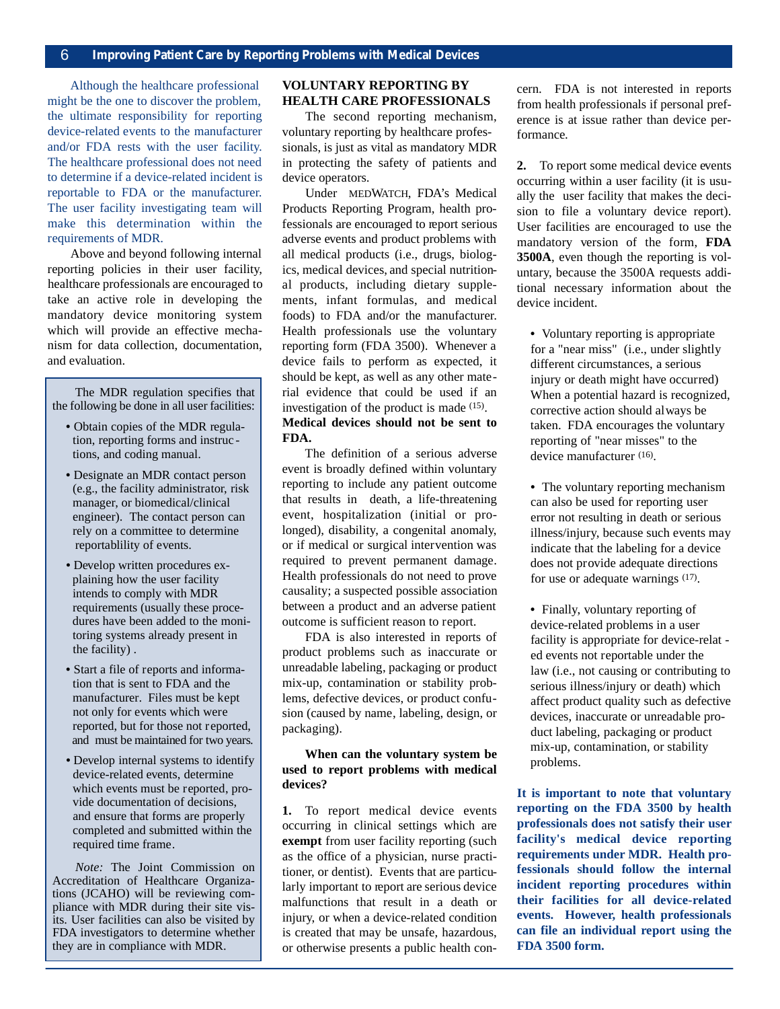Although the healthcare professional might be the one to discover the problem, the ultimate responsibility for reporting device-related events to the manufacturer and/or FDA rests with the user facility. The healthcare professional does not need to determine if a device-related incident is reportable to FDA or the manufacturer. The user facility investigating team will make this determination within the requirements of MDR.

Above and beyond following internal reporting policies in their user facility, healthcare professionals are encouraged to take an active role in developing the mandatory device monitoring system which will provide an effective mechanism for data collection, documentation, and evaluation.

The MDR regulation specifies that the following be done in all user facilities:

- **•** Obtain copies of the MDR regulation, reporting forms and instruc tions, and coding manual.
- **•** Designate an MDR contact person (e.g., the facility administrator, risk manager, or biomedical/clinical engineer). The contact person can rely on a committee to determine reportablility of events.
- **•** Develop written procedures explaining how the user facility intends to comply with MDR requirements (usually these procedures have been added to the monitoring systems already present in the facility) .
- **•** Start a file of reports and information that is sent to FDA and the manufacturer. Files must be kept not only for events which were reported, but for those not reported, and must be maintained for two years.
- **•** Develop internal systems to identify device-related events, determine which events must be reported, provide documentation of decisions, and ensure that forms are properly completed and submitted within the required time frame.

*Note:* The Joint Commission on Accreditation of Healthcare Organizations (JCAHO) will be reviewing compliance with MDR during their site visits. User facilities can also be visited by FDA investigators to determine whether they are in compliance with MDR.

### **VOLUNTARY REPORTING BY HEALTH CARE PROFESSIONALS**

The second reporting mechanism, voluntary reporting by healthcare professionals, is just as vital as mandatory MDR in protecting the safety of patients and device operators.

Under MEDWATCH, FDA's Medical Products Reporting Program, health professionals are encouraged to report serious adverse events and product problems with all medical products (i.e., drugs, biologics, medical devices, and special nutritional products, including dietary supplements, infant formulas, and medical foods) to FDA and/or the manufacturer. Health professionals use the voluntary reporting form (FDA 3500). Whenever a device fails to perform as expected, it should be kept, as well as any other material evidence that could be used if an investigation of the product is made (15) . **Medical devices should not be sent to**

# **FDA.**

The definition of a serious adverse event is broadly defined within voluntary reporting to include any patient outcome that results in death, a life-threatening event, hospitalization (initial or prolonged), disability, a congenital anomaly, or if medical or surgical intervention was required to prevent permanent damage. Health professionals do not need to prove causality; a suspected possible association between a product and an adverse patient outcome is sufficient reason to report.

FDA is also interested in reports of product problems such as inaccurate or unreadable labeling, packaging or product mix-up, contamination or stability problems, defective devices, or product confusion (caused by name, labeling, design, or packaging).

# **When can the voluntary system be used to report problems with medical devices?**

1. To report medical device events occurring in clinical settings which are **exempt** from user facility reporting (such as the office of a physician, nurse practitioner, or dentist). Events that are particularly important to report are serious device malfunctions that result in a death or injury, or when a device-related condition is created that may be unsafe, hazardous, or otherwise presents a public health concern. FDA is not interested in reports from health professionals if personal preference is at issue rather than device performance.

**2.** To report some medical device events occurring within a user facility (it is usually the user facility that makes the decision to file a voluntary device report). User facilities are encouraged to use the mandatory version of the form, FDA **3500A**, even though the reporting is voluntary, because the 3500A requests additional necessary information about the device incident.

- **•** Voluntary reporting is appropriate for a "near miss" (i.e., under slightly different circumstances, a serious injury or death might have occurred) When a potential hazard is recognized, corrective action should always be taken. FDA encourages the voluntary reporting of "near misses" to the device manufacturer (16) .
- The voluntary reporting mechanism can also be used for reporting user error not resulting in death or serious illness/injury, because such events may indicate that the labeling for a device does not provide adequate directions for use or adequate warnings (17).
- **•** Finally, voluntary reporting of device-related problems in a user facility is appropriate for device-relat ed events not reportable under the law (i.e., not causing or contributing to serious illness/injury or death) which affect product quality such as defective devices, inaccurate or unreadable product labeling, packaging or product mix-up, contamination, or stability problems.

**It is important to note that voluntary reporting on the FDA 3500 by health professionals does not satisfy their user** facility's medical device reporting **requirements under MDR. Health pro**fessionals should follow the internal incident reporting procedures within their facilities for all device-related **events. However, health professionals can file an individual report using the FDA 3500 form.**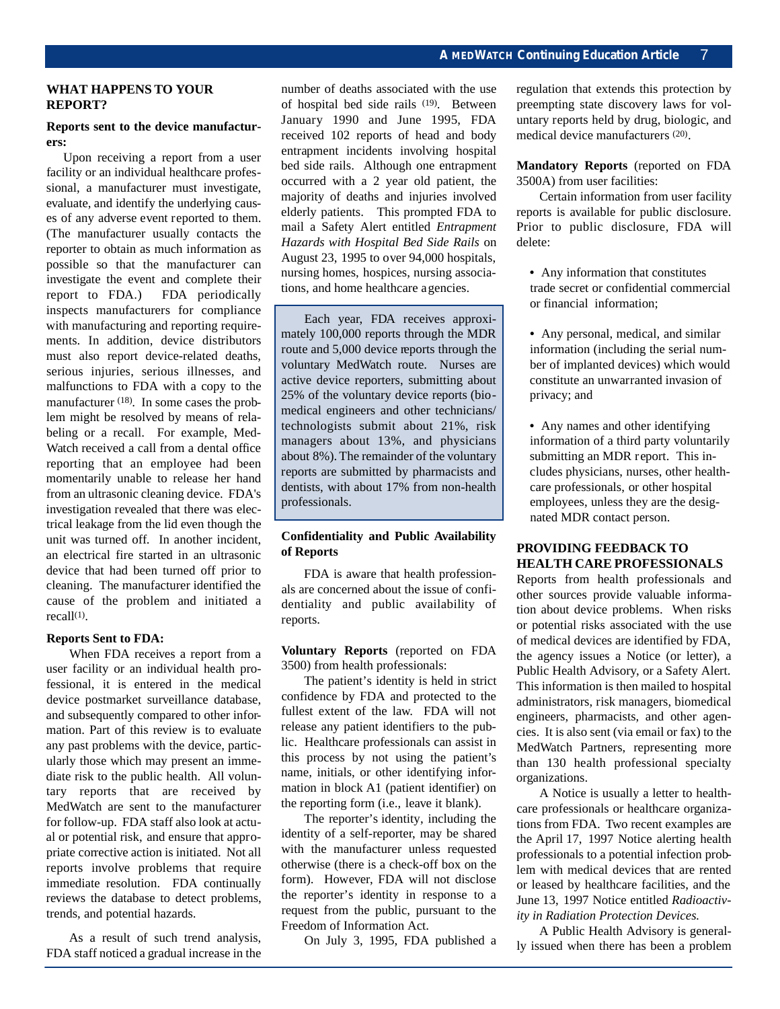# **WHAT HAPPENS TO YOUR REPORT?**

# **Reports sent to the device manufacturers:**

Upon receiving a report from a user facility or an individual healthcare professional, a manufacturer must investigate, evaluate, and identify the underlying causes of any adverse event reported to them. (The manufacturer usually contacts the reporter to obtain as much information as possible so that the manufacturer can investigate the event and complete their report to FDA.) FDA periodically inspects manufacturers for compliance with manufacturing and reporting requirements. In addition, device distributors must also report device-related deaths, serious injuries, serious illnesses, and malfunctions to FDA with a copy to the manufacturer (18). In some cases the problem might be resolved by means of relabeling or a recall. For example, Med-Watch received a call from a dental office reporting that an employee had been momentarily unable to release her hand from an ultrasonic cleaning device. FDA's investigation revealed that there was electrical leakage from the lid even though the unit was turned off. In another incident, an electrical fire started in an ultrasonic device that had been turned off prior to cleaning. The manufacturer identified the cause of the problem and initiated a recall<sup>(1)</sup>.

#### **Reports Sent to FDA:**

When FDA receives a report from a user facility or an individual health professional, it is entered in the medical device postmarket surveillance database, and subsequently compared to other information. Part of this review is to evaluate any past problems with the device, particularly those which may present an immediate risk to the public health. All voluntary reports that are received by MedWatch are sent to the manufacturer for follow-up. FDA staff also look at actual or potential risk, and ensure that appropriate corrective action is initiated. Not all reports involve problems that require immediate resolution. FDA continually reviews the database to detect problems, trends, and potential hazards.

As a result of such trend analysis, FDA staff noticed a gradual increase in the number of deaths associated with the use of hospital bed side rails (19). Between January 1990 and June 1995, FDA received 102 reports of head and body entrapment incidents involving hospital bed side rails. Although one entrapment occurred with a 2 year old patient, the majority of deaths and injuries involved elderly patients. This prompted FDA to mail a Safety Alert entitled *Entrapment Hazards with Hospital Bed Side Rails* on August 23, 1995 to over 94,000 hospitals, nursing homes, hospices, nursing associations, and home healthcare agencies.

Each year, FDA receives approximately 100,000 reports through the MDR route and 5,000 device reports through the voluntary MedWatch route. Nurses are active device reporters, submitting about 25% of the voluntary device reports (biomedical engineers and other technicians/ technologists submit about 21%, risk managers about  $13%$ , and physicians about 8%). The remainder of the voluntary reports are submitted by pharmacists and dentists, with about 17% from non-health professionals.

# **Confidentiality and Public Availability of Reports**

FDA is aware that health professionals are concerned about the issue of confidentiality and public availability of reports.

**Voluntary Reports** (reported on FDA 3500) from health professionals:

The patient's identity is held in strict confidence by FDA and protected to the fullest extent of the law. FDA will not release any patient identifiers to the public. Healthcare professionals can assist in this process by not using the patient's name, initials, or other identifying information in block A1 (patient identifier) on the reporting form (i.e., leave it blank).

The reporter's identity, including the identity of a self-reporter, may be shared with the manufacturer unless requested otherwise (there is a check-off box on the form). However, FDA will not disclose the reporter's identity in response to a request from the public, pursuant to the Freedom of Information Act.

On July 3, 1995, FDA published a

regulation that extends this protection by preempting state discovery laws for voluntary reports held by drug, biologic, and medical device manufacturers (20) .

**Mandatory Reports** (reported on FDA 3500A) from user facilities:

Certain information from user facility reports is available for public disclosure. Prior to public disclosure, FDA will delete:

**•** Any information that constitutes trade secret or confidential commercial or financial information;

**•** Any personal, medical, and similar information (including the serial number of implanted devices) which would constitute an unwarranted invasion of privacy; and

**•** Any names and other identifying information of a third party voluntarily submitting an MDR report. This includes physicians, nurses, other healthcare professionals, or other hospital employees, unless they are the designated MDR contact person.

# **PROVIDING FEEDBACK TO HEALTH CARE PROFESSIONALS**

Reports from health professionals and other sources provide valuable information about device problems. When risks or potential risks associated with the use of medical devices are identified by FDA, the agency issues a Notice (or letter), a Public Health Advisory, or a Safety Alert. This information is then mailed to hospital administrators, risk managers, biomedical engineers, pharmacists, and other agencies. It is also sent (via email or fax) to the MedWatch Partners, representing more than 130 health professional specialty organizations.

A Notice is usually a letter to healthcare professionals or healthcare organizations from FDA. Two recent examples are the April 17, 1997 Notice alerting health professionals to a potential infection problem with medical devices that are rented or leased by healthcare facilities, and the June 13, 1997 Notice entitled *Radioactivity in Radiation Protection Devices.*

A Public Health Advisory is generally issued when there has been a problem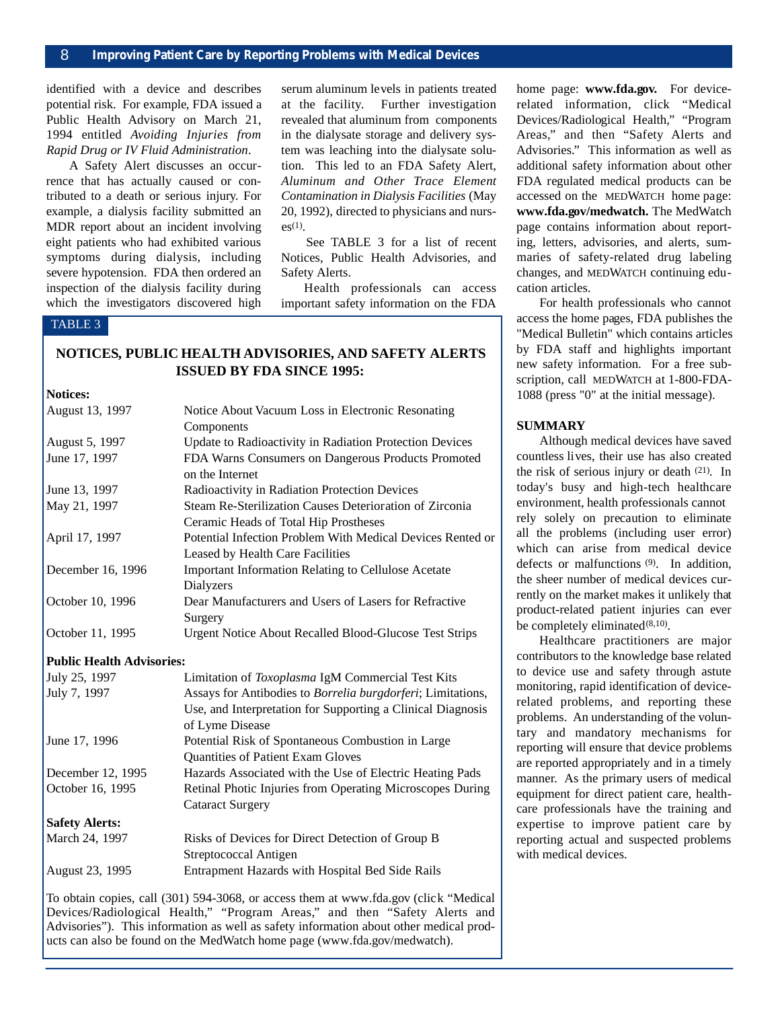# 8 **Improving Patient Care by Reporting Problems with Medical Devices**

identified with a device and describes potential risk. For example, FDA issued a Public Health Advisory on March 21, 1994 entitled *Avoiding Injuries from Rapid Drug or IV Fluid Administration*.

A Safety Alert discusses an occurrence that has actually caused or contributed to a death or serious injury. For example, a dialysis facility submitted an MDR report about an incident involving eight patients who had exhibited various symptoms during dialysis, including severe hypotension. FDA then ordered an inspection of the dialysis facility during which the investigators discovered high

serum aluminum levels in patients treated at the facility. Further investigation revealed that aluminum from components in the dialysate storage and delivery system was leaching into the dialysate solution. This led to an FDA Safety Alert, *A l u m i num and Other Trace Element Contamination in Dialysis Facilities* (May 20, 1992), directed to physicians and nurs- $\mathsf{es}^{(1)}$ .

See TABLE 3 for a list of recent Notices, Public Health Advisories, and Safety Alerts.

Health professionals can access important safety information on the FDA

# TABLE 3

# **NOTICES, PUBLIC HEALTH ADVISORIES, AND SAFETY ALERTS ISSUED BY FDA SINCE 1995:**

**Notices:**

| August 13, 1997   | Notice About Vacuum Loss in Electronic Resonating<br>Components       |
|-------------------|-----------------------------------------------------------------------|
| August 5, 1997    | Update to Radioactivity in Radiation Protection Devices               |
| June 17, 1997     | FDA Warns Consumers on Dangerous Products Promoted<br>on the Internet |
| June 13, 1997     | Radioactivity in Radiation Protection Devices                         |
| May 21, 1997      | Steam Re-Sterilization Causes Deterioration of Zirconia               |
|                   | Ceramic Heads of Total Hip Prostheses                                 |
| April 17, 1997    | Potential Infection Problem With Medical Devices Rented or            |
|                   | Leased by Health Care Facilities                                      |
| December 16, 1996 | <b>Important Information Relating to Cellulose Acetate</b>            |
|                   | Dialyzers                                                             |
| October 10, 1996  | Dear Manufacturers and Users of Lasers for Refractive                 |
|                   | Surgery                                                               |
| October 11, 1995  | Urgent Notice About Recalled Blood-Glucose Test Strips                |

#### **Public Health Advisories:**

| July 25, 1997<br>Limitation of <i>Toxoplasma</i> IgM Commercial Test Kits           |  |
|-------------------------------------------------------------------------------------|--|
| July 7, 1997<br>Assays for Antibodies to <i>Borrelia burgdorferi</i> ; Limitations, |  |
| Use, and Interpretation for Supporting a Clinical Diagnosis                         |  |
| of Lyme Disease                                                                     |  |
| June 17, 1996<br>Potential Risk of Spontaneous Combustion in Large                  |  |
| <b>Quantities of Patient Exam Gloves</b>                                            |  |
| Hazards Associated with the Use of Electric Heating Pads<br>December 12, 1995       |  |
| October 16, 1995<br>Retinal Photic Injuries from Operating Microscopes During       |  |
| <b>Cataract Surgery</b>                                                             |  |
| <b>Safety Alerts:</b>                                                               |  |
| March 24, 1997<br>Risks of Devices for Direct Detection of Group B                  |  |
| Streptococcal Antigen                                                               |  |

August 23, 1995 Entrapment Hazards with Hospital Bed Side Rails

To obtain copies, call (301) 594-3068, or access them at www.fda.gov (click "Medical Devices/Radiological Health," "Program Areas," and then "Safety Alerts and Advisories"). This information as well as safety information about other medical products can also be found on the MedWatch home page (www.fda.gov/medwatch).

home page: **www.fda.gov.** For devicerelated information, click "Medical Devices/Radiological Health," "Program Areas," and then "Safety Alerts and Advisories." This information as well as additional safety information about other FDA regulated medical products can be accessed on the MEDWATCH home page: **www.fda.gov/medwatch.** The MedWatch page contains information about reporting, letters, advisories, and alerts, summaries of safety-related drug labeling changes, and MEDWATCH continuing education articles.

For health professionals who cannot access the home pages, FDA publishes the "Medical Bulletin" which contains articles by FDA staff and highlights important new safety information. For a free subscription, call MEDWATCH at 1-800-FDA-1088 (press "0" at the initial message).

#### **SUMMARY**

Although medical devices have saved countless lives, their use has also created the risk of serious injury or death (21). In today's busy and high-tech healthcare environment, health professionals cannot rely solely on precaution to eliminate all the problems (including user error) which can arise from medical device defects or malfunctions (9). In addition, the sheer number of medical devices currently on the market makes it unlikely that product-related patient injuries can ever be completely eliminated $(8,10)$ .

Healthcare practitioners are major contributors to the knowledge base related to device use and safety through astute monitoring, rapid identification of devicerelated problems, and reporting these problems. An understanding of the voluntary and mandatory mechanisms for reporting will ensure that device problems are reported appropriately and in a timely manner. As the primary users of medical equipment for direct patient care, healthcare professionals have the training and expertise to improve patient care by reporting actual and suspected problems with medical devices.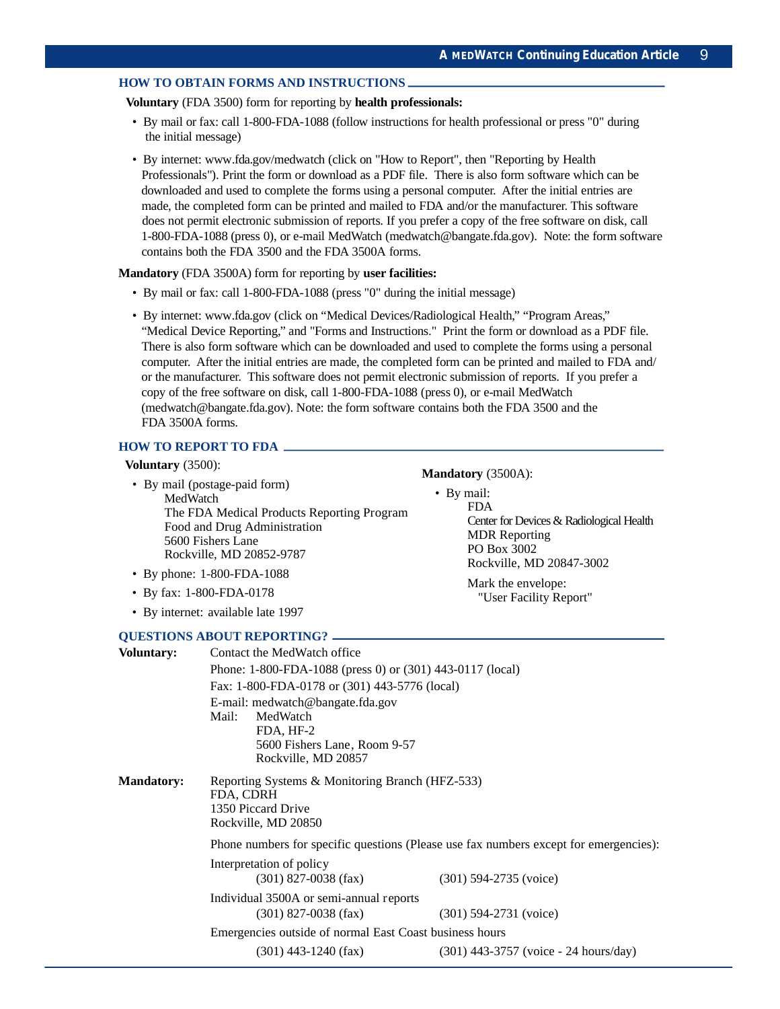# **HOW TO OBTAIN FORMS AND INSTRUCTIONS**

#### **Voluntary** (FDA 3500) form for reporting by health professionals:

- By mail or fax: call 1-800-FDA-1088 (follow instructions for health professional or press "0" during the initial message )
- By internet: www.fda.gov/medwatch (click on "How to Report", then "Reporting by Health Professionals"). Print the form or download as a PDF file. There is also form software which can be downloaded and used to complete the forms using a personal computer. After the initial entries are made, the completed form can be printed and mailed to FDA and/or the manufacturer. This software does not permit electronic submission of reports. If you prefer a copy of the free software on disk, call 1-800-FDA-1088 (press 0), or e-mail MedWatch (medwatch@bangate.fda.gov). Note: the form software contains both the FDA 3500 and the FDA 3500A forms.

#### **Mandatory** (FDA 3500A) form for reporting by user facilities:

- By mail or fax: call 1-800-FDA-1088 (press "0" during the initial message)
- By internet: www.fda.gov (click on "Medical Devices/Radiological Health," "Program Areas," "Medical Device Reporting," and "Forms and Instructions." Print the form or download as a PDF file. There is also form software which can be downloaded and used to complete the forms using a personal computer. After the initial entries are made, the completed form can be printed and mailed to FDA and/ or the manufacturer. This software does not permit electronic submission of reports. If you prefer a copy of the free software on disk, call 1-800-FDA-1088 (press 0), or e-mail MedWatch (medwatch @ bangate. fda.gov). Note: the form software contains both the FDA 3500 and the FDA 3500A forms.

**Mandatory** (3500A): • By mail: FDA

> MDR Reporting PO Box 3002

Mark the envelope: "User Facility Report"

Center for Devices & Radiological Health

Rockville, MD 20847-3002

#### **HOW TO REPORT TO FDA**

#### **Voluntary** (3500):

- By mail (postage-paid form) MedWatch The FDA Medical Products Reporting Program Food and Drug Administration 5600 Fishers Lane Rockville, MD 20852-9787
- By phone: 1-800-FDA-1088
- By fax: 1-800-FDA-0178
- By internet: available late 1997

#### **QUESTIONS ABOUT REPORTING?**

| <b>Voluntary:</b> | Contact the MedWatch office                                                                               |                              |                                                                                       |
|-------------------|-----------------------------------------------------------------------------------------------------------|------------------------------|---------------------------------------------------------------------------------------|
|                   | Phone: 1-800-FDA-1088 (press 0) or (301) 443-0117 (local)                                                 |                              |                                                                                       |
|                   | Fax: 1-800-FDA-0178 or (301) 443-5776 (local)                                                             |                              |                                                                                       |
|                   | E-mail: medwatch@bangate.fda.gov                                                                          |                              |                                                                                       |
|                   | MedWatch<br>Mail:                                                                                         |                              |                                                                                       |
|                   | FDA, HF-2                                                                                                 |                              |                                                                                       |
|                   |                                                                                                           | 5600 Fishers Lane, Room 9-57 |                                                                                       |
|                   | Rockville, MD 20857                                                                                       |                              |                                                                                       |
| <b>Mandatory:</b> | Reporting Systems & Monitoring Branch (HFZ-533)<br>FDA, CDRH<br>1350 Piccard Drive<br>Rockville, MD 20850 |                              |                                                                                       |
|                   |                                                                                                           |                              | Phone numbers for specific questions (Please use fax numbers except for emergencies): |
|                   | Interpretation of policy<br>$(301)$ 827-0038 (fax)                                                        |                              | $(301)$ 594-2735 (voice)                                                              |
|                   | Individual 3500A or semi-annual reports                                                                   |                              |                                                                                       |
|                   | $(301)$ 827-0038 (fax)                                                                                    |                              | $(301)$ 594-2731 (voice)                                                              |
|                   | Emergencies outside of normal East Coast business hours                                                   |                              |                                                                                       |
|                   | $(301)$ 443-1240 (fax)                                                                                    |                              | $(301)$ 443-3757 (voice - 24 hours/day)                                               |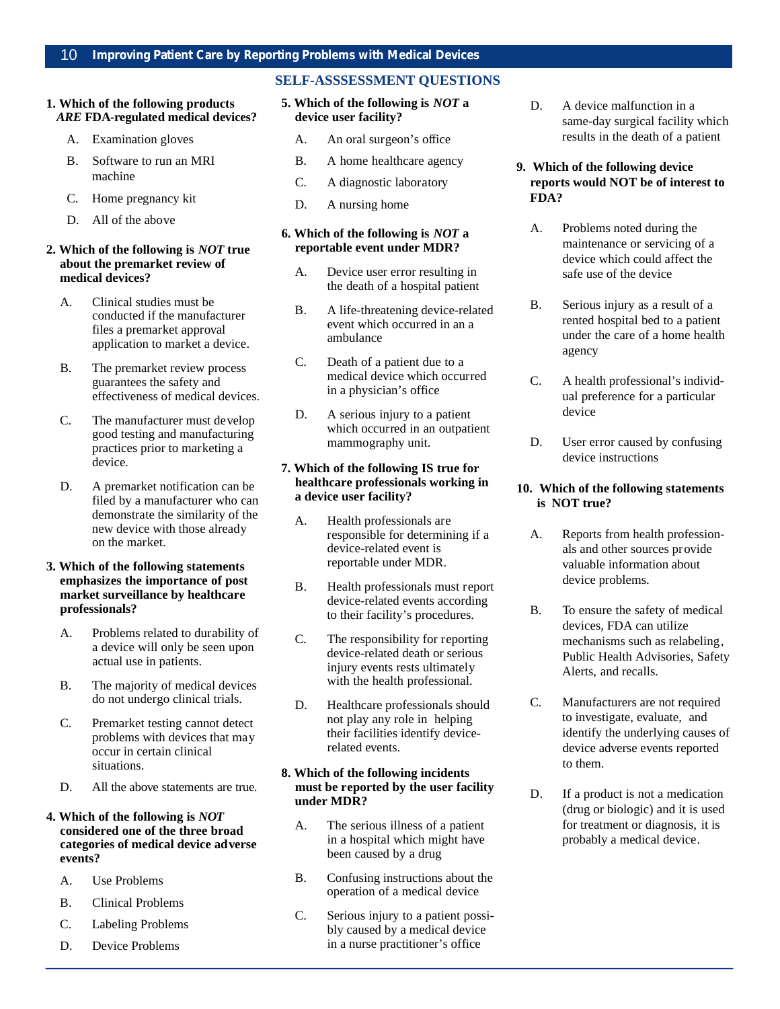# 10 **Improving Patient Care by Reporting Problems with Medical Devices**

# **1. Which of the following products**  *ARE* FDA-regulated medical devices?

- A. Examination gloves
- B. Software to run an MRI machine
- C. Home pregnancy kit
- D. All of the above

### **2. Which of the following is** *NOT* **true about the premarket review of medical devices?**

- A. Clinical studies must be conducted if the manufacturer files a premarket approval application to market a device.
- B. The premarket review process guarantees the safety and effectiveness of medical devices.
- C. The manufacturer must develop good testing and manufacturing practices prior to marketing a device.
- D. A premarket notification can be filed by a manufacturer who can demonstrate the similarity of the new device with those already on the market.

### **3. Which of the following statements emphasizes the importance of post market surveillance by healthcare professionals?**

- A. Problems related to durability of a device will only be seen upon actual use in patients.
- B. The majority of medical devices do not undergo clinical trials.
- C. Premarket testing cannot detect problems with devices that may occur in certain clinical situations.
- D. All the above statements are true.

# **4. Which of the following is** *NOT* **considered one of the three broad categories of medical device adverse events?**

- A. Use Problems
- B. Clinical Problems
- C. Labeling Problems
- D. Device Problems

# **SELF-ASSSESSMENT QUESTIONS**

- **5. Which of the following is** *NOT* **a device user facility?**
	- A. An oral surgeon's office
	- B. A home healthcare agency
	- C. A diagnostic laboratory
	- D. A nursing home

# **6. Which of the following is** *NOT* **a reportable event under MDR?**

- A. Device user error resulting in the death of a hospital patient
- B. A life-threatening device-related event which occurred in an a ambulance
- C. Death of a patient due to a medical device which occurred in a physician's office
- D. A serious injury to a patient which occurred in an outpatient mammography unit.

# **7. Which of the following IS true for healthcare professionals working in a device user facility?**

- A. Health professionals are responsible for determining if a device-related event is reportable under MDR.
- B. Health professionals must report device-related events according to their facility's procedures.
- C. The responsibility for reporting device-related death or serious injury events rests ultimately with the health professional.
- D. Healthcare professionals should not play any role in helping their facilities identify devicerelated events.

#### **8. Which of the following incidents must be reported by the user facility under MDR?**

- A. The serious illness of a patient in a hospital which might have been caused by a drug
- B. Confusing instructions about the operation of a medical device
- C. Serious injury to a patient possibly caused by a medical device in a nurse practitioner's office

D. A device malfunction in a same-day surgical facility which results in the death of a patient

# **9. Which of the following device reports would NOT be of interest to FDA?**

- A. Problems noted during the maintenance or servicing of a device which could affect the safe use of the device
- B. Serious injury as a result of a rented hospital bed to a patient under the care of a home health agency
- C. A health professional's individual preference for a particular device
- D. User error caused by confusing device instructions

# **10. Which of the following statements is NOT true?**

- A. Reports from health professionals and other sources provide valuable information about device problems.
- B. To ensure the safety of medical devices, FDA can utilize mechanisms such as relabeling, Public Health Advisories, Safety Alerts, and recalls.
- C. Manufacturers are not required to investigate, evaluate, and identify the underlying causes of device adverse events reported to them.
- D. If a product is not a medication (drug or biologic) and it is used for treatment or diagnosis, it is probably a medical device.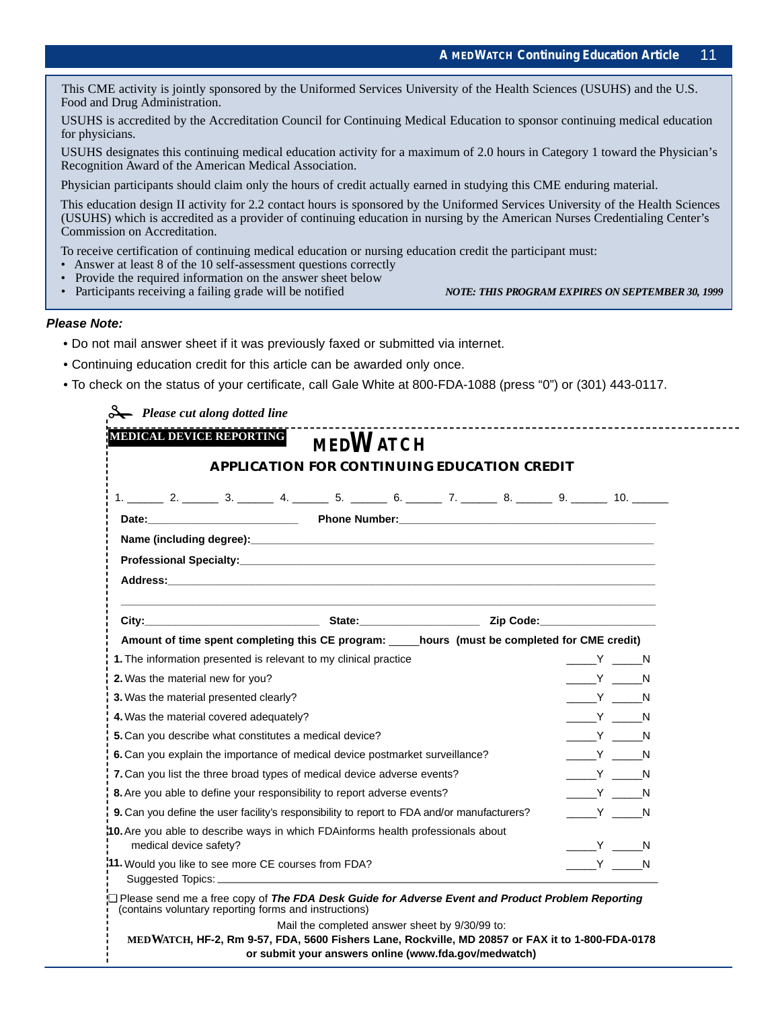This CME activity is jointly sponsored by the Uniformed Services University of the Health Sciences (USUHS) and the U.S. Food and Drug Administration.

USUHS is accredited by the Accreditation Council for Continuing Medical Education to sponsor continuing medical education for physicians.

USUHS designates this continuing medical education activity for a maximum of 2.0 hours in Category 1 toward the Physician's Recognition Award of the American Medical Association.

Physician participants should claim only the hours of credit actually earned in studying this CME enduring material.

This education design II activity for 2.2 contact hours is sponsored by the Uniformed Services University of the Health Sciences (USUHS) which is accredited as a provider of continuing education in nursing by the American Nurses Credentialing Center's Commission on Accreditation.

To receive certification of continuing medical education or nursing education credit the participant must:

- Answer at least 8 of the 10 self-assessment questions correctly
- Provide the required information on the answer sheet below
- 

Participants receiving a failing grade will be notified *NOTE: THIS PROGRAM EXPIRES ON SEPTEMBER 30, 1999* 

# **Please Note:**

 $\frac{1}{1}$ 

- Do not mail answer sheet if it was previously faxed or submitted via internet.
- Continuing education credit for this article can be awarded only once.
- To check on the status of your certificate, call Gale White at 800-FDA-1088 (press "0") or (301) 443-0117.

| <b>MEDICAL DEVICE REPORTING</b>                                                                                                                           |                                             | <b>MEDWATCH</b>                                |  |  |                                                                    |
|-----------------------------------------------------------------------------------------------------------------------------------------------------------|---------------------------------------------|------------------------------------------------|--|--|--------------------------------------------------------------------|
|                                                                                                                                                           | APPLICATION FOR CONTINUING EDUCATION CREDIT |                                                |  |  |                                                                    |
| 1. 2. 3. 4. 5. 5. 8. 7. 8. 9. 9. 10. 10.                                                                                                                  |                                             |                                                |  |  |                                                                    |
|                                                                                                                                                           |                                             |                                                |  |  |                                                                    |
|                                                                                                                                                           |                                             |                                                |  |  |                                                                    |
|                                                                                                                                                           |                                             |                                                |  |  |                                                                    |
|                                                                                                                                                           |                                             |                                                |  |  |                                                                    |
|                                                                                                                                                           |                                             |                                                |  |  |                                                                    |
|                                                                                                                                                           |                                             |                                                |  |  |                                                                    |
| Amount of time spent completing this CE program: _____hours (must be completed for CME credit)                                                            |                                             |                                                |  |  |                                                                    |
| 1. The information presented is relevant to my clinical practice                                                                                          |                                             |                                                |  |  | $Y$ N                                                              |
| 2. Was the material new for you?                                                                                                                          |                                             |                                                |  |  | $Y \tN$                                                            |
| 3. Was the material presented clearly?                                                                                                                    |                                             |                                                |  |  | $Y \t N$                                                           |
| 4. Was the material covered adequately?                                                                                                                   |                                             |                                                |  |  | $\sqrt{Y}$ $\sqrt{N}$                                              |
| 5. Can you describe what constitutes a medical device?                                                                                                    |                                             |                                                |  |  | $\frac{Y}{1}$ M                                                    |
| 6. Can you explain the importance of medical device postmarket surveillance?                                                                              |                                             |                                                |  |  | $Y \t N$                                                           |
| 7. Can you list the three broad types of medical device adverse events?                                                                                   |                                             |                                                |  |  | $\sqrt{Y}$ N                                                       |
| 8. Are you able to define your responsibility to report adverse events?                                                                                   |                                             |                                                |  |  | $Y \t N$                                                           |
| 9. Can you define the user facility's responsibility to report to FDA and/or manufacturers?                                                               |                                             |                                                |  |  | $\frac{Y}{1}$ $\frac{Y}{1}$                                        |
| 10. Are you able to describe ways in which FDAinforms health professionals about<br>medical device safety?                                                |                                             |                                                |  |  | $\begin{array}{ccc}\n&\quad \text{Y} &\quad \text{N}\n\end{array}$ |
| 11. Would you like to see more CE courses from FDA?                                                                                                       |                                             |                                                |  |  | $Y \t N$                                                           |
|                                                                                                                                                           |                                             |                                                |  |  |                                                                    |
| Please send me a free copy of The FDA Desk Guide for Adverse Event and Product Problem Reporting<br>(contains voluntary reporting forms and instructions) |                                             |                                                |  |  |                                                                    |
|                                                                                                                                                           |                                             | Mail the completed answer sheet by 9/30/99 to: |  |  |                                                                    |

**or submit your answers online (www.fda.gov/medwatch)**